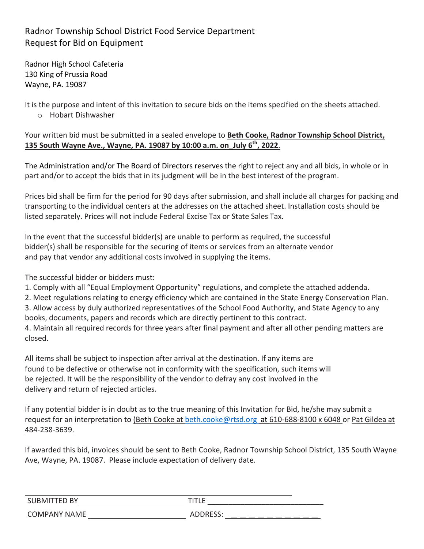## Radnor Township School District Food Service Department Request for Bid on Equipment

Radnor High School Cafeteria 130 King of Prussia Road Wayne, PA. 19087

It is the purpose and intent of this invitation to secure bids on the items specified on the sheets attached. o Hobart Dishwasher 

Your written bid must be submitted in a sealed envelope to Beth Cooke, Radnor Township School District, **135 South Wayne Ave., Wayne, PA. 19087 by 10:00 a.m. on\_July 6<sup>th</sup>, 2022.** 

The Administration and/or The Board of Directors reserves the right to reject any and all bids, in whole or in part and/or to accept the bids that in its judgment will be in the best interest of the program.

Prices bid shall be firm for the period for 90 days after submission, and shall include all charges for packing and transporting to the individual centers at the addresses on the attached sheet. Installation costs should be listed separately. Prices will not include Federal Excise Tax or State Sales Tax.

In the event that the successful bidder(s) are unable to perform as required, the successful bidder(s) shall be responsible for the securing of items or services from an alternate vendor and pay that vendor any additional costs involved in supplying the items.

The successful bidder or bidders must:

1. Comply with all "Equal Employment Opportunity" regulations, and complete the attached addenda.

2. Meet regulations relating to energy efficiency which are contained in the State Energy Conservation Plan.

3. Allow access by duly authorized representatives of the School Food Authority, and State Agency to any books, documents, papers and records which are directly pertinent to this contract.

4. Maintain all required records for three years after final payment and after all other pending matters are closed. 

All items shall be subject to inspection after arrival at the destination. If any items are found to be defective or otherwise not in conformity with the specification, such items will be rejected. It will be the responsibility of the vendor to defray any cost involved in the delivery and return of rejected articles.

If any potential bidder is in doubt as to the true meaning of this Invitation for Bid, he/she may submit a request for an interpretation to (Beth Cooke at beth.cooke@rtsd.org at 610-688-8100 x 6048 or Pat Gildea at 484-238-3639.

If awarded this bid, invoices should be sent to Beth Cooke, Radnor Township School District, 135 South Wayne Ave, Wayne, PA. 19087. Please include expectation of delivery date.

| יים ה־<br><b>SUBM</b> | .        |
|-----------------------|----------|
| <b>COMPANY</b>        | $-0o$    |
| <b>NAME</b>           | UUUILUJ. |